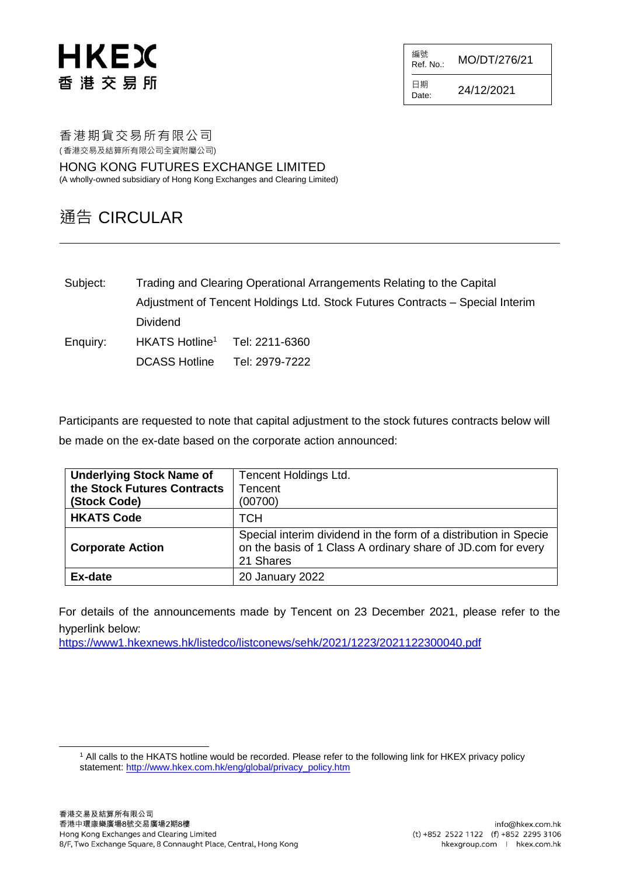# HKEX 香港交易所

編號<br>Ref. No.: Ref. No.: MO/DT/276/21

日期  $D_{\text{ate}}$ : 24/12/2021

香港期貨交易所有限公司 ( 香港交易及結算所有限公司全資附屬公司)

HONG KONG FUTURES EXCHANGE LIMITED (A wholly-owned subsidiary of Hong Kong Exchanges and Clearing Limited)

### 通告 CIRCULAR

Subject: Trading and Clearing Operational Arrangements Relating to the Capital Adjustment of Tencent Holdings Ltd. Stock Futures Contracts – Special Interim Dividend Enquiry: HKATS Hotline<sup>1</sup> Tel: 2211-6360

DCASS Hotline Tel: 2979-7222

Participants are requested to note that capital adjustment to the stock futures contracts below will be made on the ex-date based on the corporate action announced:

| <b>Underlying Stock Name of</b><br>the Stock Futures Contracts<br>(Stock Code) | <b>Tencent Holdings Ltd.</b><br>Tencent<br>(00700)                                                                                            |
|--------------------------------------------------------------------------------|-----------------------------------------------------------------------------------------------------------------------------------------------|
| <b>HKATS Code</b>                                                              | <b>TCH</b>                                                                                                                                    |
| <b>Corporate Action</b>                                                        | Special interim dividend in the form of a distribution in Specie<br>on the basis of 1 Class A ordinary share of JD.com for every<br>21 Shares |
| Ex-date                                                                        | 20 January 2022                                                                                                                               |

For details of the announcements made by Tencent on 23 December 2021, please refer to the hyperlink below:

<https://www1.hkexnews.hk/listedco/listconews/sehk/2021/1223/2021122300040.pdf>

l

<sup>1</sup> All calls to the HKATS hotline would be recorded. Please refer to the following link for HKEX privacy policy statement: [http://www.hkex.com.hk/eng/global/privacy\\_policy.htm](http://www.hkex.com.hk/eng/global/privacy_policy.htm)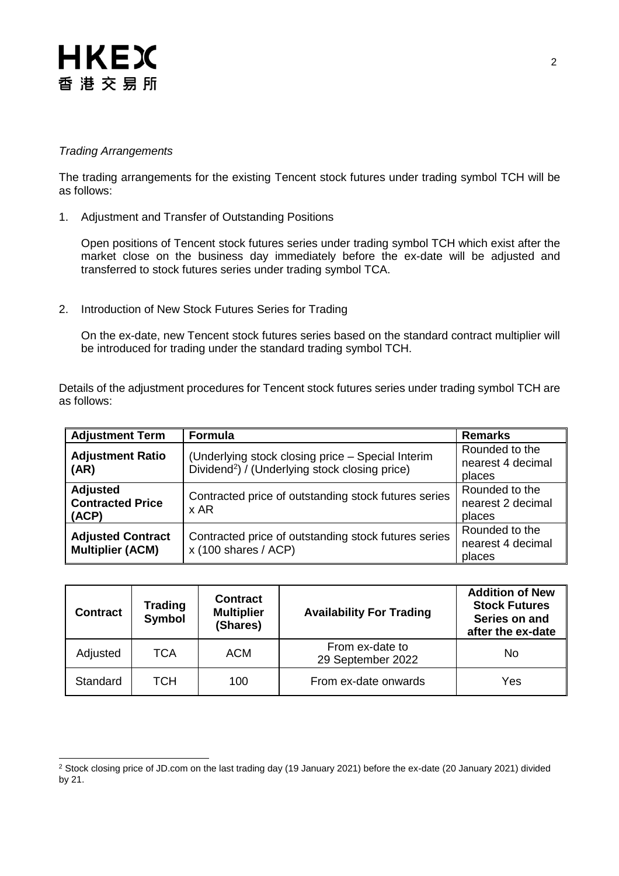# HKEX 香港交易所

#### *Trading Arrangements*

l

The trading arrangements for the existing Tencent stock futures under trading symbol TCH will be as follows:

1. Adjustment and Transfer of Outstanding Positions

Open positions of Tencent stock futures series under trading symbol TCH which exist after the market close on the business day immediately before the ex-date will be adjusted and transferred to stock futures series under trading symbol TCA.

2. Introduction of New Stock Futures Series for Trading

On the ex-date, new Tencent stock futures series based on the standard contract multiplier will be introduced for trading under the standard trading symbol TCH.

Details of the adjustment procedures for Tencent stock futures series under trading symbol TCH are as follows:

| <b>Adjustment Term</b>                              | <b>Formula</b>                                                                                                  | <b>Remarks</b>                                |
|-----------------------------------------------------|-----------------------------------------------------------------------------------------------------------------|-----------------------------------------------|
| <b>Adjustment Ratio</b><br>(AR)                     | (Underlying stock closing price - Special Interim<br>Dividend <sup>2</sup> ) / (Underlying stock closing price) | Rounded to the<br>nearest 4 decimal<br>places |
| <b>Adjusted</b><br><b>Contracted Price</b><br>(ACP) | Contracted price of outstanding stock futures series<br>x AR                                                    | Rounded to the<br>nearest 2 decimal<br>places |
| <b>Adjusted Contract</b><br><b>Multiplier (ACM)</b> | Contracted price of outstanding stock futures series<br>$x(100 \text{ shares } / ACP)$                          |                                               |

| <b>Contract</b> | <b>Trading</b><br><b>Symbol</b> | <b>Contract</b><br><b>Multiplier</b><br>(Shares) | <b>Availability For Trading</b>      | <b>Addition of New</b><br><b>Stock Futures</b><br>Series on and<br>after the ex-date |
|-----------------|---------------------------------|--------------------------------------------------|--------------------------------------|--------------------------------------------------------------------------------------|
| Adjusted        | TCA                             | <b>ACM</b>                                       | From ex-date to<br>29 September 2022 | No                                                                                   |
| Standard        | тсн                             | 100                                              | From ex-date onwards                 | Yes                                                                                  |

<sup>&</sup>lt;sup>2</sup> Stock closing price of JD.com on the last trading day (19 January 2021) before the ex-date (20 January 2021) divided by 21.